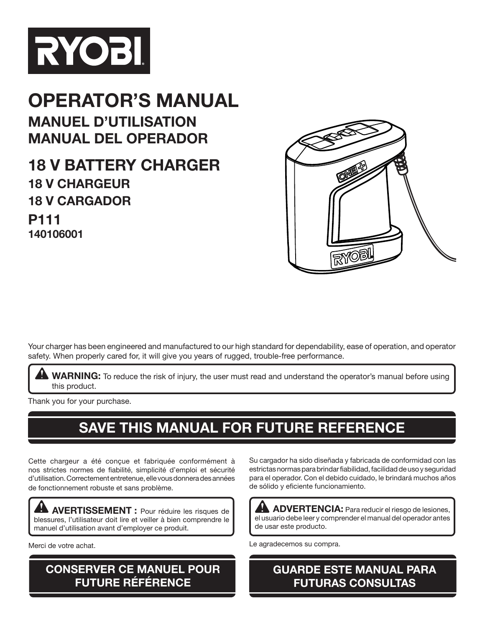

# **OPERATOR'S MANUAL MANUEL D'UTILISATION MANUAL DEL OPERADOR**

**18 V BATTERY CHARGER 18 v cHARGEUR 18 v CARGADOR P111 140106001**



Your charger has been engineered and manufactured to our high standard for dependability, ease of operation, and operator safety. When properly cared for, it will give you years of rugged, trouble-free performance.

**WARNING:** To reduce the risk of injury, the user must read and understand the operator's manual before using this product.

Thank you for your purchase.

# **SAVE THIS MANUAL FOR FUTURE REFERENCE**

Cette chargeur a été conçue et fabriquée conformément à nos strictes normes de fiabilité, simplicité d'emploi et sécurité d'utilisation. Correctement entretenue, elle vous donnera des années de fonctionnement robuste et sans problème.

**AVERTISSEMENT :** Pour réduire les risques de blessures, l'utilisateur doit lire et veiller à bien comprendre le manuel d'utilisation avant d'employer ce produit.

Merci de votre achat.

### **CONSERVER CE MANUEL POUR FUTURE RÉFÉRENCE**

Su cargador ha sido diseñada y fabricada de conformidad con las estrictas normas para brindar fiabilidad, facilidad de uso y seguridad para el operador. Con el debido cuidado, le brindará muchos años de sólido y eficiente funcionamiento.

**ADVERTENCIA:** Para reducir el riesgo de lesiones, el usuario debe leer y comprender el manual del operador antes de usar este producto.

Le agradecemos su compra.

### **GUARDE ESTE MANUAL PARA FUTURAS CONSULTAS**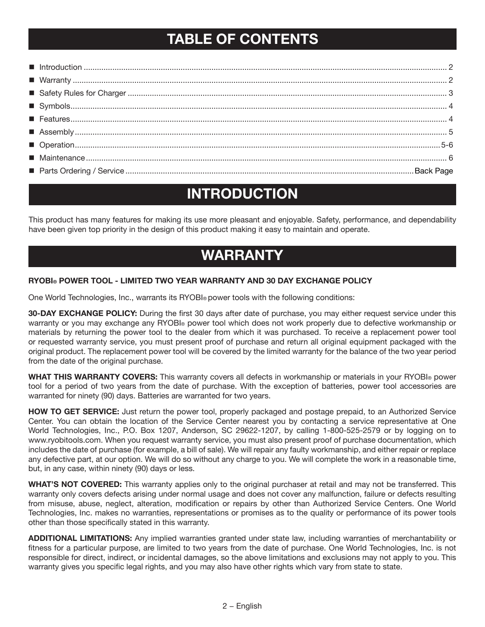## **TABLE OF CONTENTS**

## **INTRODUCTION**

This product has many features for making its use more pleasant and enjoyable. Safety, performance, and dependability have been given top priority in the design of this product making it easy to maintain and operate.

### **warranty**

#### **RYOBI® POWER TOOL - LIMITED TWO YEAR WARRANTY AND 30 DAY EXCHANGE POLICY**

One World Technologies, Inc., warrants its RYOBI® power tools with the following conditions:

**30-DAY EXCHANGE POLICY:** During the first 30 days after date of purchase, you may either request service under this warranty or you may exchange any RYOBI® power tool which does not work properly due to defective workmanship or materials by returning the power tool to the dealer from which it was purchased. To receive a replacement power tool or requested warranty service, you must present proof of purchase and return all original equipment packaged with the original product. The replacement power tool will be covered by the limited warranty for the balance of the two year period from the date of the original purchase.

**WHAT THIS WARRANTY COVERS:** This warranty covers all defects in workmanship or materials in your RYOBI® power tool for a period of two years from the date of purchase. With the exception of batteries, power tool accessories are warranted for ninety (90) days. Batteries are warranted for two years.

**HOW TO GET SERVICE:** Just return the power tool, properly packaged and postage prepaid, to an Authorized Service Center. You can obtain the location of the Service Center nearest you by contacting a service representative at One World Technologies, Inc., P.O. Box 1207, Anderson, SC 29622-1207, by calling 1-800-525-2579 or by logging on to www.ryobitools.com. When you request warranty service, you must also present proof of purchase documentation, which includes the date of purchase (for example, a bill of sale). We will repair any faulty workmanship, and either repair or replace any defective part, at our option. We will do so without any charge to you. We will complete the work in a reasonable time, but, in any case, within ninety (90) days or less.

**WHAT'S NOT COVERED:** This warranty applies only to the original purchaser at retail and may not be transferred. This warranty only covers defects arising under normal usage and does not cover any malfunction, failure or defects resulting from misuse, abuse, neglect, alteration, modification or repairs by other than Authorized Service Centers. One World Technologies, Inc. makes no warranties, representations or promises as to the quality or performance of its power tools other than those specifically stated in this warranty.

**ADDITIONAL LIMITATIONS:** Any implied warranties granted under state law, including warranties of merchantability or fitness for a particular purpose, are limited to two years from the date of purchase. One World Technologies, Inc. is not responsible for direct, indirect, or incidental damages, so the above limitations and exclusions may not apply to you. This warranty gives you specific legal rights, and you may also have other rights which vary from state to state.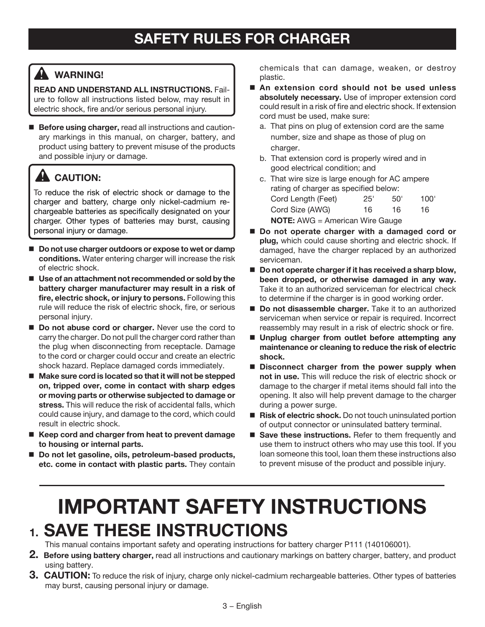### **WARNING!**

**READ AND UNDERSTAND ALL INSTRUCTIONS.** Failure to follow all instructions listed below, may result in electric shock, fire and/or serious personal injury.

 **Before using charger,** read all instructions and cautionary markings in this manual, on charger, battery, and product using battery to prevent misuse of the products and possible injury or damage.

## **CAUTION:**

To reduce the risk of electric shock or damage to the charger and battery, charge only nickel-cadmium rechargeable batteries as specifically designated on your charger. Other types of batteries may burst, causing personal injury or damage.

- Do not use charger outdoors or expose to wet or damp **conditions.** Water entering charger will increase the risk of electric shock.
- Use of an attachment not recommended or sold by the **battery charger manufacturer may result in a risk of fire, electric shock, or injury to persons.** Following this rule will reduce the risk of electric shock, fire, or serious personal injury.
- **Do not abuse cord or charger.** Never use the cord to carry the charger. Do not pull the charger cord rather than the plug when disconnecting from receptacle. Damage to the cord or charger could occur and create an electric shock hazard. Replace damaged cords immediately.
- Make sure cord is located so that it will not be stepped **on, tripped over, come in contact with sharp edges or moving parts or otherwise subjected to damage or stress.** This will reduce the risk of accidental falls, which could cause injury, and damage to the cord, which could result in electric shock.
- Keep cord and charger from heat to prevent damage **to housing or internal parts.**
- Do not let gasoline, oils, petroleum-based products, **etc. come in contact with plastic parts.** They contain

chemicals that can damage, weaken, or destroy plastic.

- An extension cord should not be used unless **absolutely necessary.** Use of improper extension cord could result in a risk of fire and electric shock. If extension cord must be used, make sure:
	- a. That pins on plug of extension cord are the same number, size and shape as those of plug on charger.
	- b. That extension cord is properly wired and in good electrical condition; and
	- c. That wire size is large enough for AC ampere rating of charger as specified below: Cord Length (Feet) 25' 50' 100' Cord Size (AWG) 16 16 16 **NOTE:** AWG = American Wire Gauge
- Do not operate charger with a damaged cord or **plug,** which could cause shorting and electric shock. If damaged, have the charger replaced by an authorized serviceman.
- Do not operate charger if it has received a sharp blow, **been dropped, or otherwise damaged in any way.**  Take it to an authorized serviceman for electrical check to determine if the charger is in good working order.
- **Do not disassemble charger.** Take it to an authorized serviceman when service or repair is required. Incorrect reassembly may result in a risk of electric shock or fire.
- **Unplug charger from outlet before attempting any maintenance or cleaning to reduce the risk of electric shock.**
- Disconnect charger from the power supply when **not in use.** This will reduce the risk of electric shock or damage to the charger if metal items should fall into the opening. It also will help prevent damage to the charger during a power surge.
- Risk of electric shock. Do not touch uninsulated portion of output connector or uninsulated battery terminal.
- **Save these instructions.** Refer to them frequently and use them to instruct others who may use this tool. If you loan someone this tool, loan them these instructions also to prevent misuse of the product and possible injury.

# **IMPORTANT SAFETY INSTRUCTIONS 1. SAVE THESE INSTRUCTIONS**

This manual contains important safety and operating instructions for battery charger P111 (140106001).

- **2. Before using battery charger,** read all instructions and cautionary markings on battery charger, battery, and product using battery.
- **3. CAUTION:** To reduce the risk of injury, charge only nickel-cadmium rechargeable batteries. Other types of batteries may burst, causing personal injury or damage.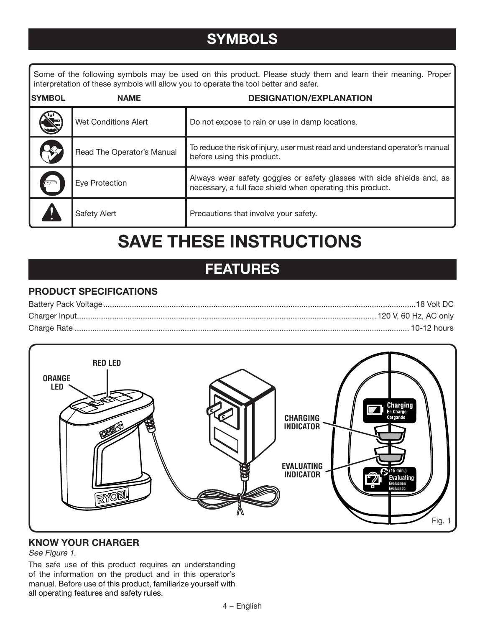## **SYMBOLS**

Some of the following symbols may be used on this product. Please study them and learn their meaning. Proper interpretation of these symbols will allow you to operate the tool better and safer.

| <b>SYMBOL</b> | <b>NAME</b>                 | <b>DESIGNATION/EXPLANATION</b>                                                                                                       |
|---------------|-----------------------------|--------------------------------------------------------------------------------------------------------------------------------------|
|               | <b>Wet Conditions Alert</b> | Do not expose to rain or use in damp locations.                                                                                      |
|               | Read The Operator's Manual  | To reduce the risk of injury, user must read and understand operator's manual<br>before using this product.                          |
|               | Eye Protection              | Always wear safety goggles or safety glasses with side shields and, as<br>necessary, a full face shield when operating this product. |
|               | Safety Alert                | Precautions that involve your safety.                                                                                                |

# **SAVE THESE INSTRUCTIONS**

## **FEATURES**

#### **PRODUCT SPECIFICATIONS**



#### **KNOW YOUR charger**

#### See Figure 1.

The safe use of this product requires an understanding of the information on the product and in this operator's manual. Before use of this product, familiarize yourself with all operating features and safety rules.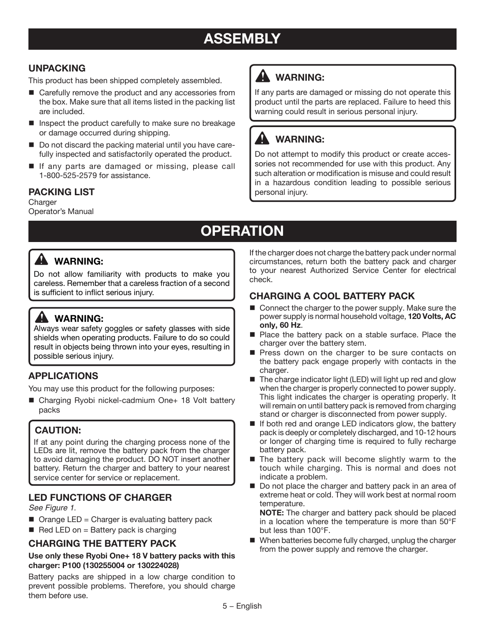## **ASSEMBLY**

#### **UNPACKING**

This product has been shipped completely assembled.

- Carefully remove the product and any accessories from the box. Make sure that all items listed in the packing list are included.
- $\blacksquare$  Inspect the product carefully to make sure no breakage or damage occurred during shipping.
- Do not discard the packing material until you have carefully inspected and satisfactorily operated the product.
- If any parts are damaged or missing, please call 1-800-525-2579 for assistance.

#### **PACKING LIST**

**Charger** Operator's Manual

## **WARNING:**

If any parts are damaged or missing do not operate this product until the parts are replaced. Failure to heed this warning could result in serious personal injury.

### **WARNING:**

Do not attempt to modify this product or create accessories not recommended for use with this product. Any such alteration or modification is misuse and could result in a hazardous condition leading to possible serious personal injury.

# **OPERATION**

### **WARNING:**

Do not allow familiarity with products to make you careless. Remember that a careless fraction of a second is sufficient to inflict serious injury.

### **WARNING:**

Always wear safety goggles or safety glasses with side shields when operating products. Failure to do so could result in objects being thrown into your eyes, resulting in possible serious injury.

#### **APPLICATIONS**

You may use this product for the following purposes:

■ Charging Ryobi nickel-cadmium One+ 18 Volt battery packs

### **CAUTION:**

If at any point during the charging process none of the LEDs are lit, remove the battery pack from the charger to avoid damaging the product. DO NOT insert another battery. Return the charger and battery to your nearest service center for service or replacement.

#### **LED FUNCTIONS OF CHARGER**

See Figure 1.

- $\blacksquare$  Orange LED = Charger is evaluating battery pack
- Red LED on  $=$  Battery pack is charging

#### **CHARGING THE BATTERY PACK**

#### **Use only these Ryobi One+ 18 V battery packs with this charger: P100 (130255004 or 130224028)**

Battery packs are shipped in a low charge condition to prevent possible problems. Therefore, you should charge them before use.

If the charger does not charge the battery pack under normal circumstances, return both the battery pack and charger to your nearest Authorized Service Center for electrical check.

#### **CHARGING A COOL BATTERY PACK**

- Connect the charger to the power supply. Make sure the power supply is normal household voltage, **120 Volts, AC only, 60 Hz**.
- Place the battery pack on a stable surface. Place the charger over the battery stem.
- Press down on the charger to be sure contacts on the battery pack engage properly with contacts in the charger.
- $\blacksquare$  The charge indicator light (LED) will light up red and glow when the charger is properly connected to power supply. This light indicates the charger is operating properly. It will remain on until battery pack is removed from charging stand or charger is disconnected from power supply.
- If both red and orange LED indicators glow, the battery pack is deeply or completely discharged, and 10-12 hours or longer of charging time is required to fully recharge battery pack.
- $\blacksquare$  The battery pack will become slightly warm to the touch while charging. This is normal and does not indicate a problem.
- Do not place the charger and battery pack in an area of extreme heat or cold. They will work best at normal room temperature.

**NOTE:** The charger and battery pack should be placed in a location where the temperature is more than 50°F but less than 100°F.

■ When batteries become fully charged, unplug the charger from the power supply and remove the charger.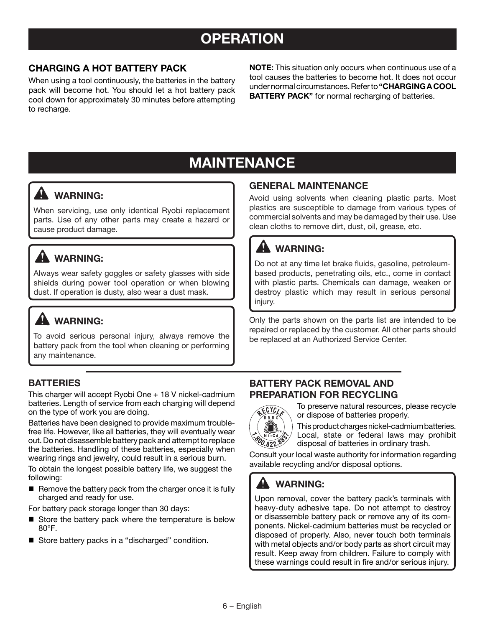## **OPERATION**

#### **CHARGING A HOT BATTERY PACK**

When using a tool continuously, the batteries in the battery pack will become hot. You should let a hot battery pack cool down for approximately 30 minutes before attempting to recharge.

**NOTE:** This situation only occurs when continuous use of a tool causes the batteries to become hot. It does not occur under normal circumstances. Refer to **"CHARGING A COOL BATTERY PACK"** for normal recharging of batteries.

## **MAINTENANCE**

### **WARNING:**

When servicing, use only identical Ryobi replacement parts. Use of any other parts may create a hazard or cause product damage.

## **WARNING:**

Always wear safety goggles or safety glasses with side shields during power tool operation or when blowing dust. If operation is dusty, also wear a dust mask.

### **A** WARNING:

To avoid serious personal injury, always remove the battery pack from the tool when cleaning or performing any maintenance.

#### **BATTERIES**

This charger will accept Ryobi One + 18 V nickel-cadmium batteries. Length of service from each charging will depend on the type of work you are doing.

Batteries have been designed to provide maximum troublefree life. However, like all batteries, they will eventually wear out. Do not disassemble battery pack and attempt to replace the batteries. Handling of these batteries, especially when wearing rings and jewelry, could result in a serious burn.

To obtain the longest possible battery life, we suggest the following:

 $\blacksquare$  Remove the battery pack from the charger once it is fully charged and ready for use.

For battery pack storage longer than 30 days:

- Store the battery pack where the temperature is below 80°F.
- Store battery packs in a "discharged" condition.

#### **GENERAL MAINTENANCE**

Avoid using solvents when cleaning plastic parts. Most plastics are susceptible to damage from various types of commercial solvents and may be damaged by their use. Use clean cloths to remove dirt, dust, oil, grease, etc.

### **WARNING:**

Do not at any time let brake fluids, gasoline, petroleumbased products, penetrating oils, etc., come in contact with plastic parts. Chemicals can damage, weaken or destroy plastic which may result in serious personal injury.

Only the parts shown on the parts list are intended to be repaired or replaced by the customer. All other parts should be replaced at an Authorized Service Center.

#### **BATTERY PACK REMOVAL AND PREPARATION FOR RECYCLING**



To preserve natural resources, please recycle or dispose of batteries properly.

This product charges nickel-cadmium batteries. Local, state or federal laws may prohibit disposal of batteries in ordinary trash.

Consult your local waste authority for information regarding available recycling and/or disposal options.

### **WARNING:**

Upon removal, cover the battery pack's terminals with heavy-duty adhesive tape. Do not attempt to destroy or disassemble battery pack or remove any of its components. Nickel-cadmium batteries must be recycled or disposed of properly. Also, never touch both terminals with metal objects and/or body parts as short circuit may result. Keep away from children. Failure to comply with these warnings could result in fire and/or serious injury.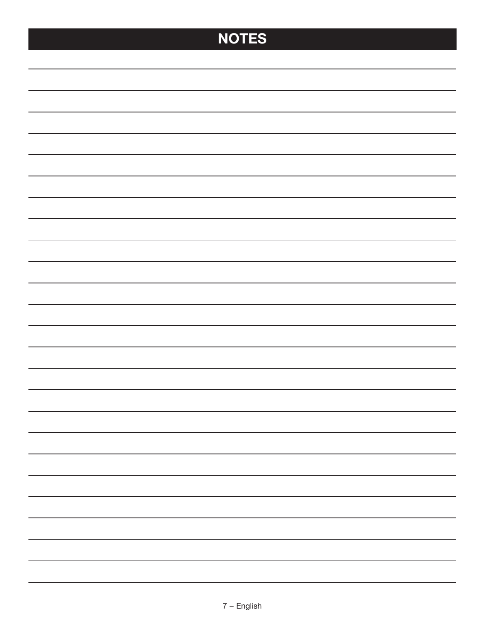# **NOTES**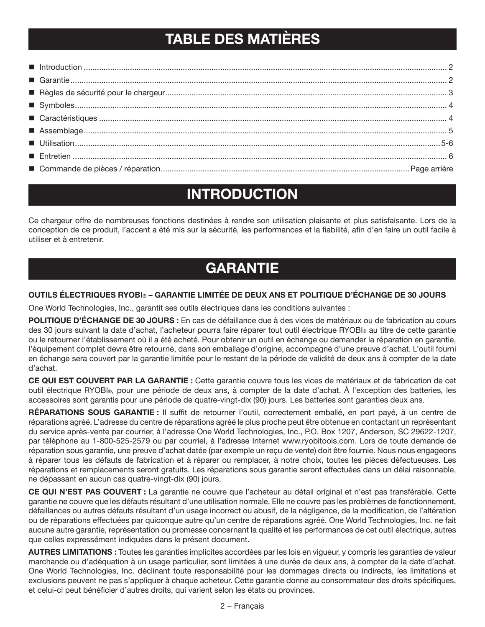## **TABLE DES MATIÈRES**

## **INTRODUCTION**

Ce chargeur offre de nombreuses fonctions destinées à rendre son utilisation plaisante et plus satisfaisante. Lors de la conception de ce produit, l'accent a été mis sur la sécurité, les performances et la fiabilité, afin d'en faire un outil facile à utiliser et à entretenir.

## **GARANTIE**

#### OUTILS ÉLECTRIQUES RYOBI® – GARANTIE LIMITÉE DE DEUX ANS ET POLITIQUE D'ÉCHANGE DE 30 JOURS

One World Technologies, Inc., garantit ses outils électriques dans les conditions suivantes :

**POLITIQUE D'ÉCHANGE DE 30 JOURS :** En cas de défaillance due à des vices de matériaux ou de fabrication au cours des 30 jours suivant la date d'achat, l'acheteur pourra faire réparer tout outil électrique RYOBI® au titre de cette garantie ou le retourner l'établissement où il a été acheté. Pour obtenir un outil en échange ou demander la réparation en garantie, l'équipement complet devra être retourné, dans son emballage d'origine, accompagné d'une preuve d'achat. L'outil fourni en échange sera couvert par la garantie limitée pour le restant de la période de validité de deux ans à compter de la date d'achat.

CE QUI EST COUVERT PAR LA GARANTIE : Cette garantie couvre tous les vices de matériaux et de fabrication de cet outil électrique RYOBI®, pour une période de deux ans, à compter de la date d'achat. À l'exception des batteries, les accessoires sont garantis pour une période de quatre-vingt-dix (90) jours. Les batteries sont garanties deux ans.

RÉPARATIONS SOUS GARANTIE : Il suffit de retourner l'outil, correctement emballé, en port payé, à un centre de réparations agréé. L'adresse du centre de réparations agréé le plus proche peut être obtenue en contactant un représentant du service après-vente par courrier, à l'adresse One World Technologies, Inc., P.O. Box 1207, Anderson, SC 29622-1207, par téléphone au 1-800-525-2579 ou par courriel, à l'adresse Internet www.ryobitools.com. Lors de toute demande de réparation sous garantie, une preuve d'achat datée (par exemple un reçu de vente) doit être fournie. Nous nous engageons à réparer tous les défauts de fabrication et à réparer ou remplacer, à notre choix, toutes les pièces défectueuses. Les réparations et remplacements seront gratuits. Les réparations sous garantie seront effectuées dans un délai raisonnable, ne dépassant en aucun cas quatre-vingt-dix (90) jours.

CE QUI N'EST PAS COUVERT : La garantie ne couvre que l'acheteur au détail original et n'est pas transférable. Cette garantie ne couvre que les défauts résultant d'une utilisation normale. Elle ne couvre pas les problèmes de fonctionnement, défaillances ou autres défauts résultant d'un usage incorrect ou abusif, de la négligence, de la modification, de l'altération ou de réparations effectuées par quiconque autre qu'un centre de réparations agréé. One World Technologies, Inc. ne fait aucune autre garantie, représentation ou promesse concernant la qualité et les performances de cet outil électrique, autres que celles expressément indiquées dans le présent document.

AUTRES LIMITATIONS : Toutes les garanties implicites accordées par les lois en vigueur, y compris les garanties de valeur marchande ou d'adéquation à un usage particulier, sont limitées à une durée de deux ans, à compter de la date d'achat. One World Technologies, Inc. déclinant toute responsabilité pour les dommages directs ou indirects, les limitations et exclusions peuvent ne pas s'appliquer à chaque acheteur. Cette garantie donne au consommateur des droits spécifiques, et celui-ci peut bénéficier d'autres droits, qui varient selon les états ou provinces.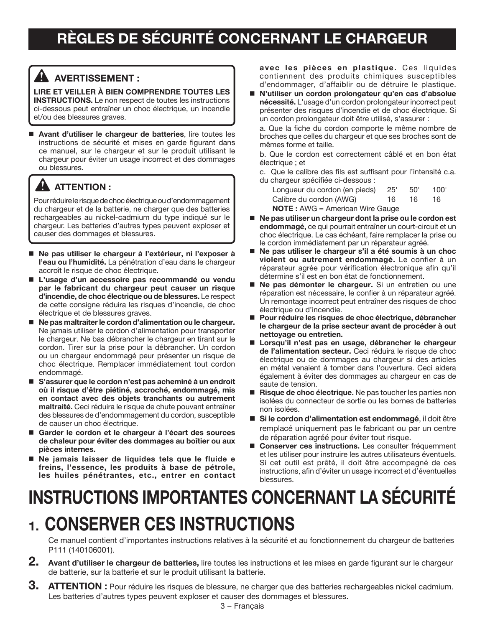### **AVERTISSEMENT :**

**Lire et veiller à bien comprendre toutes les INSTRUCTIONS.** Le non respect de toutes les instructions ci-dessous peut entraîner un choc électrique, un incendie et/ou des blessures graves.

 **Avant d'utiliser le chargeur de batteries**, lire toutes les instructions de sécurité et mises en garde figurant dans ce manuel, sur le chargeur et sur le produit utilisant le chargeur pour éviter un usage incorrect et des dommages ou blessures.

## **ATTENTION :**

Pour réduire le risque de choc électrique ou d'endommagement du chargeur et de la batterie, ne charger que des batteries rechargeables au nickel-cadmium du type indiqué sur le chargeur. Les batteries d'autres types peuvent exploser et causer des dommages et blessures.

- Ne pas utiliser le chargeur à l'extérieur, ni l'exposer à **l'eau ou l'humidité.** La pénétration d'eau dans le chargeur accroît le risque de choc électrique.
- **L'usage d'un accessoire pas recommandé ou vendu par le fabricant du chargeur peut causer un risque d'incendie, de choc électrique ou de blessures.** Le respect de cette consigne réduira les risques d'incendie, de choc électrique et de blessures graves.
- Ne pas maltraiter le cordon d'alimentation ou le chargeur. Ne jamais utiliser le cordon d'alimentation pour transporter le chargeur. Ne bas débrancher le chargeur en tirant sur le cordon. Tirer sur la prise pour la débrancher. Un cordon ou un chargeur endommagé peur présenter un risque de choc électrique. Remplacer immédiatement tout cordon endommagé.
- **S'assurer que le cordon n'est pas acheminé à un endroit où il risque d'être piétiné, accroché, endommagé, mis en contact avec des objets tranchants ou autrement maltraité.** Ceci réduira le risque de chute pouvant entraîner des blessures de d'endommagement du cordon, susceptible de causer un choc électrique.
- **Garder le cordon et le chargeur à l'écart des sources de chaleur pour éviter des dommages au boîtier ou aux pièces internes.**
- **Ne jamais laisser de liquides tels que le fluide e freins, l'essence, les produits à base de pétrole, les huiles pénétrantes, etc., entrer en contact**

**avec les pièces en plastique.** Ces liquides contiennent des produits chimiques susceptibles d'endommager, d'affaiblir ou de détruire le plastique.

 **N'utiliser un cordon prolongateur qu'en cas d'absolue nécessité.** L'usage d'un cordon prolongateur incorrect peut présenter des risques d'incendie et de choc électrique. Si un cordon prolongateur doit être utilisé, s'assurer :

a. Que la fiche du cordon comporte le même nombre de broches que celles du chargeur et que ses broches sont de mêmes forme et taille.

b. Que le cordon est correctement câblé et en bon état électrique ; et

c. Que le calibre des fils est suffisant pour l'intensité c.a. du chargeur spécifiée ci-dessous :

| Longueur du cordon (en pieds)              | 25' | .50' | 100' |
|--------------------------------------------|-----|------|------|
| Calibre du cordon (AWG)                    | 16. | 16   | 16   |
| <b>NOTE</b> : $AWG = American Write Gauge$ |     |      |      |

- Ne pas utiliser un chargeur dont la prise ou le cordon est **endommagé,** ce qui pourrait entraîner un court-circuit et un choc électrique. Le cas échéant, faire remplacer la prise ou le cordon immédiatement par un réparateur agréé.
- **Ne pas utiliser le chargeur s'il a été soumis à un choc violent ou autrement endommagé.** Le confier à un réparateur agrée pour vérification électronique afin qu'il détermine s'il est en bon état de fonctionnement.
- **Ne pas démonter le chargeur.** Si un entretien ou une réparation est nécessaire, le confier à un réparateur agréé. Un remontage incorrect peut entraîner des risques de choc électrique ou d'incendie.
- Pour réduire les risques de choc électrique, débrancher **le chargeur de la prise secteur avant de procéder à out nettoyage ou entretien.**
- **Lorsqu'il n'est pas en usage, débrancher le chargeur de l'alimentation secteur.** Ceci réduira le risque de choc électrique ou de dommages au chargeur si des articles en métal venaient à tomber dans l'ouverture. Ceci aidera également à éviter des dommages au chargeur en cas de saute de tension.
- **Risque de choc électrique.** Ne pas toucher les parties non isolées du connecteur de sortie ou les bornes de batteries non isolées.
- **Si le cordon d'alimentation est endommagé**, il doit être remplacé uniquement pas le fabricant ou par un centre de réparation agréé pour éviter tout risque.
- **Conserver ces instructions.** Les consulter fréquemment et les utiliser pour instruire les autres utilisateurs éventuels. Si cet outil est prêté, il doit être accompagné de ces instructions, afin d'éviter un usage incorrect et d'éventuelles blessures.

# **INSTRUCTIONS IMPORTANTES CONCERNANT LA SÉCURITÉ 1. Conserver ces instructions**

Ce manuel contient d'importantes instructions relatives à la sécurité et au fonctionnement du chargeur de batteries P111 (140106001).

- **2. Avant d'utiliser le chargeur de batteries,** lire toutes les instructions et les mises en garde figurant sur le chargeur de batterie, sur la batterie et sur le produit utilisant la batterie.
- **3. ATTENTION :** Pour réduire les risques de blessure, ne charger que des batteries rechargeables nickel cadmium. Les batteries d'autres types peuvent exploser et causer des dommages et blessures.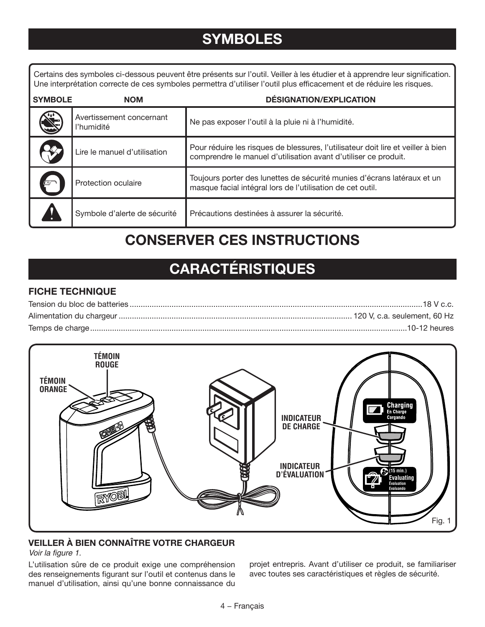## **SYMBOLES**

Certains des symboles ci-dessous peuvent être présents sur l'outil. Veiller à les étudier et à apprendre leur signification. Une interprétation correcte de ces symboles permettra d'utiliser l'outil plus efficacement et de réduire les risques.

| <b>SYMBOLE</b> | <b>NOM</b>                             | <b>DÉSIGNATION/EXPLICATION</b>                                                                                                                      |
|----------------|----------------------------------------|-----------------------------------------------------------------------------------------------------------------------------------------------------|
|                | Avertissement concernant<br>l'humidité | Ne pas exposer l'outil à la pluie ni à l'humidité.                                                                                                  |
|                | Lire le manuel d'utilisation           | Pour réduire les risques de blessures, l'utilisateur doit lire et veiller à bien<br>comprendre le manuel d'utilisation avant d'utiliser ce produit. |
|                | Protection oculaire                    | Toujours porter des lunettes de sécurité munies d'écrans latéraux et un<br>masque facial intégral lors de l'utilisation de cet outil.               |
|                | Symbole d'alerte de sécurité           | Précautions destinées à assurer la sécurité.                                                                                                        |

## **CONSERVER CES INSTRUCTIONS**

## **CARACTÉRISTIQUES**

#### **FICHE TECHNIQUE**



### **VEILLER À BIEN CONNAÎTRE VOTRE CHARGEUR**

#### Voir la figure 1.

L'utilisation sûre de ce produit exige une compréhension des renseignements figurant sur l'outil et contenus dans le manuel d'utilisation, ainsi qu'une bonne connaissance du

projet entrepris. Avant d'utiliser ce produit, se familiariser avec toutes ses caractéristiques et règles de sécurité.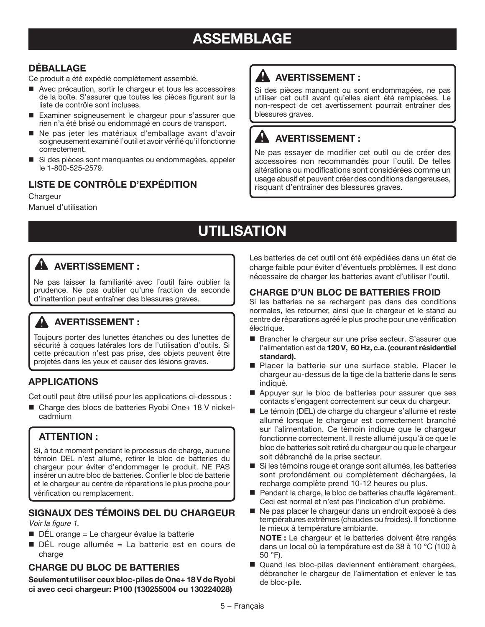## **ASSEMBLAGE**

#### **DÉBALLAGE**

Ce produit a été expédié complètement assemblé.

- Avec précaution, sortir le chargeur et tous les accessoires de la boîte. S'assurer que toutes les pièces figurant sur la liste de contrôle sont incluses.
- Examiner soigneusement le chargeur pour s'assurer que rien n'a été brisé ou endommagé en cours de transport.
- Ne pas jeter les matériaux d'emballage avant d'avoir soigneusement examiné l'outil et avoir vérifié qu'il fonctionne correctement.
- Si des pièces sont manquantes ou endommagées, appeler le 1-800-525-2579.

### **LISTE DE CONTRÔLE D'EXPÉDITION**

#### **Chargeur**

Manuel d'utilisation

## **AVERTISSEMENT :**

Si des pièces manquent ou sont endommagées, ne pas utiliser cet outil avant qu'elles aient été remplacées. Le non-respect de cet avertissement pourrait entraîner des blessures graves.

### **AVERTISSEMENT :**

Ne pas essayer de modifier cet outil ou de créer des accessoires non recommandés pour l'outil. De telles altérations ou modifications sont considérées comme un usage abusif et peuvent créer des conditions dangereuses, risquant d'entraîner des blessures graves.

## **UTILISATION**

### **AVERTISSEMENT :**

Ne pas laisser la familiarité avec l'outil faire oublier la prudence. Ne pas oublier qu'une fraction de seconde d'inattention peut entraîner des blessures graves.

### **AVERTISSEMENT :**

Toujours porter des lunettes étanches ou des lunettes de sécurité à coques latérales lors de l'utilisation d'outils. Si cette précaution n'est pas prise, des objets peuvent être projetés dans les yeux et causer des lésions graves.

#### **APPLICATIONS**

Cet outil peut être utilisé pour les applications ci-dessous :

■ Charge des blocs de batteries Ryobi One+ 18 V nickelcadmium

#### **ATTENTION :**

Si, à tout moment pendant le processus de charge, aucune témoin DEL n'est allumé, retirer le bloc de batteries du chargeur pour éviter d'endommager le produit. NE PAS insérer un autre bloc de batteries. Confier le bloc de batterie et le chargeur au centre de réparations le plus proche pour vérification ou remplacement.

#### **SIGNAUX DES TÉMOINS DEL DU CHARGEUR** *Voir la figure 1*.

- $\blacksquare$  DÉL orange = Le chargeur évalue la batterie
- DÉL rouge allumée = La batterie est en cours de charge

#### **CHARGE DU BLOC DE BATTERIES**

**Seulement utiliser ceux bloc-piles de One+ 18 V de Ryobi ci avec ceci chargeur: P100 (130255004 ou 130224028)**

Les batteries de cet outil ont été expédiées dans un état de charge faible pour éviter d'éventuels problèmes. Il est donc nécessaire de charger les batteries avant d'utiliser l'outil.

#### **CHARGE D'UN BLOC DE BATTERIES FROID**

Si les batteries ne se rechargent pas dans des conditions normales, les retourner, ainsi que le chargeur et le stand au centre de réparations agréé le plus proche pour une vérification électrique.

- Brancher le chargeur sur une prise secteur. S'assurer que l'alimentation est de **120 V, 60 Hz, c.a. (courant résidentiel standard).**
- Placer la batterie sur une surface stable. Placer le chargeur au-dessus de la tige de la batterie dans le sens indiqué.
- Appuyer sur le bloc de batteries pour assurer que ses contacts s'engagent correctement sur ceux du chargeur.
- Le témoin (DEL) de charge du chargeur s'allume et reste allumé lorsque le chargeur est correctement branché sur l'alimentation. Ce témoin indique que le chargeur fonctionne correctement. Il reste allumé jusqu'à ce que le bloc de batteries soit retiré du chargeur ou que le chargeur soit débranché de la prise secteur.
- Si les témoins rouge et orange sont allumés, les batteries sont profondément ou complètement déchargées, la recharge complète prend 10-12 heures ou plus.
- Pendant la charge, le bloc de batteries chauffe légèrement. Ceci est normal et n'est pas l'indication d'un problème.
- Ne pas placer le chargeur dans un endroit exposé à des températures extrêmes (chaudes ou froides). Il fonctionne le mieux à température ambiante.

**NOTE :** Le chargeur et le batteries doivent être rangés dans un local où la température est de 38 à 10 °C (100 à 50 °F).

Quand les bloc-piles deviennent entièrement chargées, débrancher le chargeur de l'alimentation et enlever le tas de bloc-pile.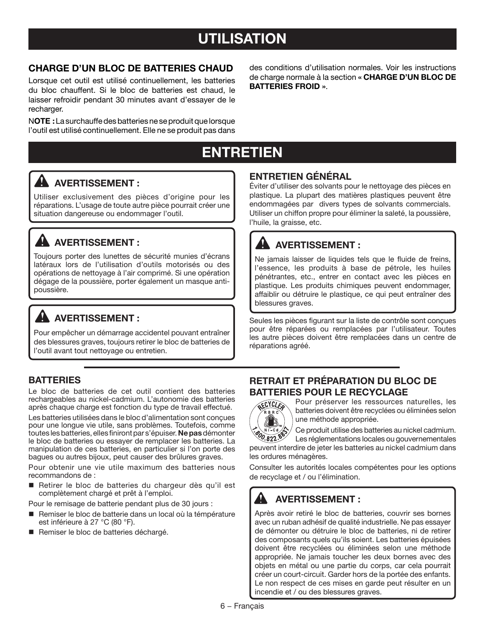## **utilisation**

#### **CHARGE D'UN BLOC DE BATTERIES CHAUD**

Lorsque cet outil est utilisé continuellement, les batteries du bloc chauffent. Si le bloc de batteries est chaud, le laisser refroidir pendant 30 minutes avant d'essayer de le recharger.

N**OTE :** La surchauffe des batteries ne se produit que lorsque l'outil est utilisé continuellement. Elle ne se produit pas dans des conditions d'utilisation normales. Voir les instructions de charge normale à la section **« CHARGE D'UN BLOC DE BATTERIES FROID »**.

## **ENTRETIEN**

### **AVERTISSEMENT :**

Utiliser exclusivement des pièces d'origine pour les réparations. L'usage de toute autre pièce pourrait créer une situation dangereuse ou endommager l'outil.

### **AVERTISSEMENT :**

Toujours porter des lunettes de sécurité munies d'écrans latéraux lors de l'utilisation d'outils motorisés ou des opérations de nettoyage à l'air comprimé. Si une opération dégage de la poussière, porter également un masque antipoussière.

### **A** AVERTISSEMENT :

Pour empêcher un démarrage accidentel pouvant entraîner des blessures graves, toujours retirer le bloc de batteries de l'outil avant tout nettoyage ou entretien.

#### **BATTERIES**

Le bloc de batteries de cet outil contient des batteries rechargeables au nickel-cadmium. L'autonomie des batteries après chaque charge est fonction du type de travail effectué.

Les batteries utilisées dans le bloc d'alimentation sont conçues pour une longue vie utile, sans problèmes. Toutefois, comme toutes les batteries, elles finiront par s'épuiser. **Ne pas** démonter le bloc de batteries ou essayer de remplacer les batteries. La manipulation de ces batteries, en particulier si l'on porte des bagues ou autres bijoux, peut causer des brûlures graves.

Pour obtenir une vie utile maximum des batteries nous recommandons de :

Retirer le bloc de batteries du chargeur dès qu'il est complètement chargé et prêt à l'emploi.

Pour le remisage de batterie pendant plus de 30 jours :

- Remiser le bloc de batterie dans un local où la témpérature est inférieure à 27 °C (80 °F).
- Remiser le bloc de batteries déchargé.

#### **ENTRETIEN GÉNÉRAL**

Éviter d'utiliser des solvants pour le nettoyage des pièces en plastique. La plupart des matières plastiques peuvent être endommagées par divers types de solvants commercials. Utiliser un chiffon propre pour éliminer la saleté, la poussière, l'huile, la graisse, etc.

### **AVERTISSEMENT :**

Ne jamais laisser de liquides tels que le fluide de freins, l'essence, les produits à base de pétrole, les huiles pénétrantes, etc., entrer en contact avec les pièces en plastique. Les produits chimiques peuvent endommager, affaiblir ou détruire le plastique, ce qui peut entraîner des blessures graves.

Seules les pièces figurant sur la liste de contrôle sont conçues pour être réparées ou remplacées par l'utilisateur. Toutes les autre pièces doivent être remplacées dans un centre de réparations agréé.

#### **RETRAIT ET PRÉPARATION DU BLOC DE BATTERIES POUR LE RECYCLAGE**



Pour préserver les ressources naturelles, les batteries doivent être recyclées ou éliminées selon une méthode appropriée.

Ce produit utilise des batteries au nickel cadmium. Les réglementations locales ou gouvernementales

peuvent interdire de jeter les batteries au nickel cadmium dans les ordures ménagères.

Consulter les autorités locales compétentes pour les options de recyclage et / ou l'élimination.

#### **AVERTISSEMENT :**

Après avoir retiré le bloc de batteries, couvrir ses bornes avec un ruban adhésif de qualité industrielle. Ne pas essayer de démonter ou détruire le bloc de batteries, ni de retirer des composants quels qu'ils soient. Les batteries épuisées doivent être recyclées ou éliminées selon une méthode appropriée. Ne jamais toucher les deux bornes avec des objets en métal ou une partie du corps, car cela pourrait créer un court-circuit. Garder hors de la portée des enfants. Le non respect de ces mises en garde peut résulter en un incendie et / ou des blessures graves.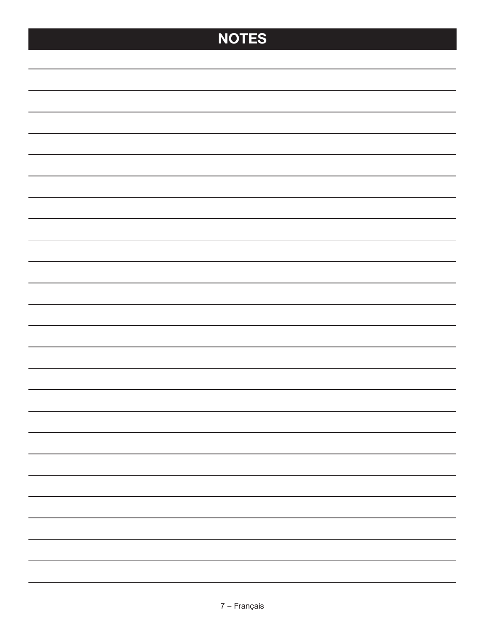# **NOTES**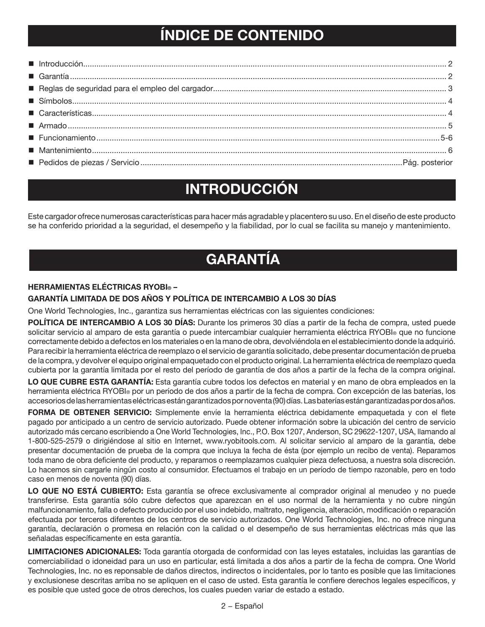## **ÍNDICE DE CONTENIDO**

## **INTRODUCCIÓN**

Este cargador ofrece numerosas características para hacer más agradable y placentero su uso. En el diseño de este producto se ha conferido prioridad a la seguridad, el desempeño y la fiabilidad, por lo cual se facilita su manejo y mantenimiento.

## **GARANTÍA**

#### **HERRAMIENTAS ELÉCTRICAS RYOBI® –**

#### **GARANTÍA LIMITADA DE DOS AÑOS Y POLÍTICA DE INTERCAMBIO A LOS 30 DÍAS**

One World Technologies, Inc., garantiza sus herramientas eléctricas con las siguientes condiciones:

**POLÍTICA DE INTERCAMBIO A LOS 30 DÍAS:** Durante los primeros 30 días a partir de la fecha de compra, usted puede solicitar servicio al amparo de esta garantía o puede intercambiar cualquier herramienta eléctrica RYOBI® que no funcione correctamente debido a defectos en los materiales o en la mano de obra, devolviéndola en el establecimiento donde la adquirió. Para recibir la herramienta eléctrica de reemplazo o el servicio de garantía solicitado, debe presentar documentación de prueba de la compra, y devolver el equipo original empaquetado con el producto original. La herramienta eléctrica de reemplazo queda cubierta por la garantía limitada por el resto del período de garantía de dos años a partir de la fecha de la compra original.

**LO QUE CUBRE ESTA GARANTÍA:** Esta garantía cubre todos los defectos en material y en mano de obra empleados en la herramienta eléctrica RYOBI® por un período de dos años a partir de la fecha de compra. Con excepción de las baterías, los accesorios de las herramientas eléctricas están garantizados por noventa (90) días. Las baterías están garantizadas por dos años.

**FORMA DE OBTENER SERVICIO:** Simplemente envíe la herramienta eléctrica debidamente empaquetada y con el flete pagado por anticipado a un centro de servicio autorizado. Puede obtener información sobre la ubicación del centro de servicio autorizado más cercano escribiendo a One World Technologies, Inc., P.O. Box 1207, Anderson, SC 29622-1207, USA, llamando al 1-800-525-2579 o dirigiéndose al sitio en Internet, www.ryobitools.com. Al solicitar servicio al amparo de la garantía, debe presentar documentación de prueba de la compra que incluya la fecha de ésta (por ejemplo un recibo de venta). Reparamos toda mano de obra deficiente del producto, y reparamos o reemplazamos cualquier pieza defectuosa, a nuestra sola discreción. Lo hacemos sin cargarle ningún costo al consumidor. Efectuamos el trabajo en un período de tiempo razonable, pero en todo caso en menos de noventa (90) días.

**LO QUE NO ESTÁ CUBIERTO:** Esta garantía se ofrece exclusivamente al comprador original al menudeo y no puede transferirse. Esta garantía sólo cubre defectos que aparezcan en el uso normal de la herramienta y no cubre ningún malfuncionamiento, falla o defecto producido por el uso indebido, maltrato, negligencia, alteración, modificación o reparación efectuada por terceros diferentes de los centros de servicio autorizados. One World Technologies, Inc. no ofrece ninguna garantía, declaración o promesa en relación con la calidad o el desempeño de sus herramientas eléctricas más que las señaladas específicamente en esta garantía.

**LIMITACIONES ADICIONALES:** Toda garantía otorgada de conformidad con las leyes estatales, incluidas las garantías de comerciabilidad o idoneidad para un uso en particular, está limitada a dos años a partir de la fecha de compra. One World Technologies, Inc. no es reponsable de daños directos, indirectos o incidentales, por lo tanto es posible que las limitaciones y exclusionese descritas arriba no se apliquen en el caso de usted. Esta garantía le confiere derechos legales específicos, y es posible que usted goce de otros derechos, los cuales pueden variar de estado a estado.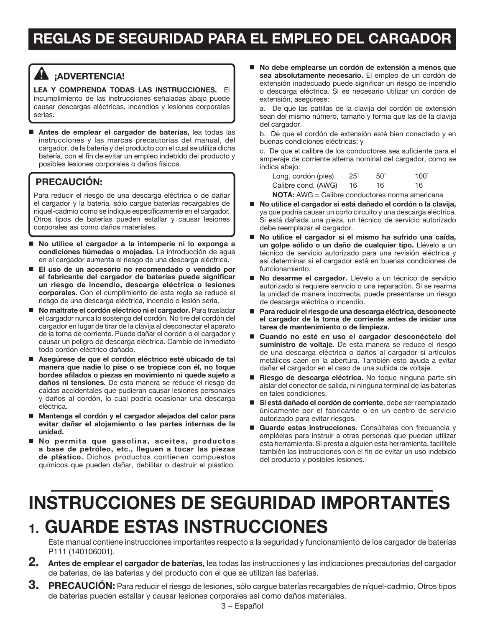## **REGLAS DE SEGURIDAD PARA EL EMPLEO DEL CARGADOR**

### **¡ADVERTENCIA!**

**Lea y comprenda todas las instrucciones.** El incumplimiento de las instrucciones señaladas abajo puede causar descargas eléctricas, incendios y lesiones corporales serias.

 **Antes de emplear el cargador de baterías,** lea todas las instrucciones y las marcas precautorias del manual, del cargador, de la batería y del producto con el cual se utiliza dicha batería, con el fin de evitar un empleo indebido del producto y posibles lesiones corporales o daños físicos.

#### **PRECAUCIÓN:**

Para reducir el riesgo de una descarga eléctrica o de dañar el cargador y la batería, sólo cargue baterías recargables de níquel-cadmio como se indique específicamente en el cargador. Otros tipos de baterías pueden estallar y causar lesiones corporales así como daños materiales.

- **No utilice el cargador a la intemperie ni lo exponga a condiciones húmedas o mojadas.** La introducción de agua en el cargador aumenta el riesgo de una descarga eléctrica.
- **El uso de un accesorio no recomendado o vendido por el fabricante del cargador de baterías puede significar un riesgo de incendio, descarga eléctrica o lesiones corporales.** Con el cumplimiento de esta regla se reduce el riesgo de una descarga eléctrica, incendio o lesión seria.
- No maltrate el cordón eléctrico ni el cargador. Para trasladar el cargador nunca lo sostenga del cordón. No tire del cordón del cargador en lugar de tirar de la clavija al desconectar el aparato de la toma de corriente. Puede dañar el cordón o el cargador y causar un peligro de descarga eléctrica. Cambie de inmediato todo cordón eléctrico dañado.
- **Asegúrese de que el cordón eléctrico esté ubicado de tal manera que nadie lo pise o se tropiece con él, no toque bordes afilados o piezas en movimiento ni quede sujeto a daños ni tensiones.** De esta manera se reduce el riesgo de caídas accidentales que pudieran causar lesiones personales y daños al cordón, lo cual podría ocasionar una descarga eléctrica.
- **Mantenga el cordón y el cargador alejados del calor para evitar dañar el alojamiento o las partes internas de la unidad.**
- **No permita que gasolina, aceites, productos a base de petróleo, etc., lleguen a tocar las piezas de plástico.** Dichos productos contienen compuestos químicos que pueden dañar, debilitar o destruir el plástico.

 **No debe emplearse un cordón de extensión a menos que sea absolutamente necesario.** El empleo de un cordón de extensión inadecuado puede significar un riesgo de incendio o descarga eléctrica. Si es necesario utilizar un cordón de extensión, asegúrese:

a. De que las patillas de la clavija del cordón de extensión sean del mismo número, tamaño y forma que las de la clavija del cargador.

b. De que el cordón de extensión esté bien conectado y en buenas condiciones eléctricas; y

c. De que el calibre de los conductores sea suficiente para el amperaje de corriente alterna nominal del cargador, como se indica abajo:

| Long. cordón (pies)                                    | 25' | 50' | 100' |
|--------------------------------------------------------|-----|-----|------|
| Calibre cond. (AWG)                                    | -16 | 16. | 16   |
| <b>NOTA:</b> AWG = Calibre conductores norma americana |     |     |      |

- No utilice el cargador si está dañado el cordón o la clavija, ya que podría causar un corto circuito y una descarga eléctrica. Si está dañada una pieza, un técnico de servicio autorizado debe reemplazar el cargador.
- No utilice el cargador si el mismo ha sufrido una caída, **un golpe sólido o un daño de cualquier tipo.** Llévelo a un técnico de servicio autorizado para una revisión eléctrica y así determinar si el cargador está en buenas condiciones de funcionamiento.
- **No desarme el cargador.** Llévelo a un técnico de servicio autorizado si requiere servicio o una reparación. Si se rearma la unidad de manera incorrecta, puede presentarse un riesgo de descarga eléctrica o incendio.
- **Para reducir el riesgo de una descarga eléctrica, desconecte el cargador de la toma de corriente antes de iniciar una tarea de mantenimiento o de limpieza.**
- **Cuando no esté en uso el cargador desconéctelo del suministro de voltaje.** De esta manera se reduce el riesgo de una descarga eléctrica o daños al cargador si artículos metálicos caen en la abertura. También esto ayuda a evitar dañar el cargador en el caso de una subida de voltaje.
- **Riesgo de descarga eléctrica.** No toque ninguna parte sin aislar del conector de salida, ni ninguna terminal de las baterías en tales condiciones.
- **Si está dañado el cordón de corriente**, debe ser reemplazado únicamente por el fabricante o en un centro de servicio autorizado para evitar riesgos.
- **Guarde estas instrucciones.** Consúltelas con frecuencia y empléelas para instruir a otras personas que puedan utilizar esta herramienta. Si presta a alguien esta herramienta, facilítele también las instrucciones con el fin de evitar un uso indebido del producto y posibles lesiones.

# **INSTRUCCIONES DE SEGURIDAD IMPORTANTES 1. GUARDE ESTAS INSTRUCCIONES**

Este manual contiene instrucciones importantes respecto a la seguridad y funcionamiento de los cargador de baterías P111 (140106001).

- **2. Antes de emplear el cargador de baterías,** lea todas las instrucciones y las indicaciones precautorias del cargador de baterías, de las baterías y del producto con el que se utilizan las baterías.
- **3. PRECAUCIÓN:** Para reducir el riesgo de lesiones, sólo cargue baterías recargables de níquel-cadmio. Otros tipos de baterías pueden estallar y causar lesiones corporales así como daños materiales.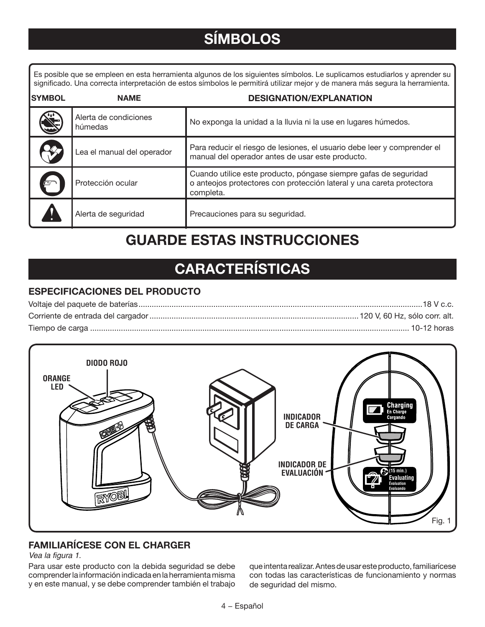# **SÍMBOLOS**

Es posible que se empleen en esta herramienta algunos de los siguientes símbolos. Le suplicamos estudiarlos y aprender su significado. Una correcta interpretación de estos símbolos le permitirá utilizar mejor y de manera más segura la herramienta.

| <b>SYMBOL</b> | <b>NAME</b>                      | <b>DESIGNATION/EXPLANATION</b>                                                                                                                         |
|---------------|----------------------------------|--------------------------------------------------------------------------------------------------------------------------------------------------------|
|               | Alerta de condiciones<br>húmedas | No exponga la unidad a la lluvia ni la use en lugares húmedos.                                                                                         |
|               | Lea el manual del operador       | Para reducir el riesgo de lesiones, el usuario debe leer y comprender el<br>manual del operador antes de usar este producto.                           |
|               | Protección ocular                | Cuando utilice este producto, póngase siempre gafas de seguridad<br>o anteojos protectores con protección lateral y una careta protectora<br>completa. |
|               | Alerta de seguridad              | Precauciones para su seguridad.                                                                                                                        |

## **GUARDE ESTAS INSTRUCCIONES**

# **CARACTERÍSTICAS**

#### **ESPECIFICACIONES DEL PRODUCTO**



### **FAMILIARÍCESE CON EL charger**

Vea la figura 1.

Para usar este producto con la debida seguridad se debe comprender la información indicada en la herramienta misma y en este manual, y se debe comprender también el trabajo

que intenta realizar. Antes de usar este producto, familiarícese con todas las características de funcionamiento y normas de seguridad del mismo.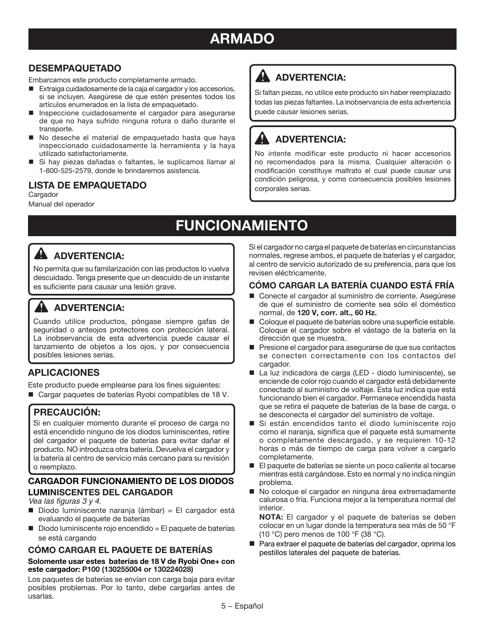## **ARMADO**

#### **DESEMPAQUETADO**

Embarcamos este producto completamente armado.

- Extraiga cuidadosamente de la caja el cargador y los accesorios, si se incluyen. Asegúrese de que estén presentes todos los artículos enumerados en la lista de empaquetado.
- Inspeccione cuidadosamente el cargador para asegurarse de que no haya sufrido ninguna rotura o daño durante el transporte.
- No deseche el material de empaquetado hasta que haya inspeccionado cuidadosamente la herramienta y la haya utilizado satisfactoriamente.
- Si hay piezas dañadas o faltantes, le suplicamos llamar al 1-800-525-2579, donde le brindaremos asistencia.

#### **LISTA DE EMPAQUETADO**

**Cargador** Manual del operador

## **ADVERTENCIA:**

Si faltan piezas, no utilice este producto sin haber reemplazado todas las piezas faltantes. La inobservancia de esta advertencia puede causar lesiones serias.

### **ADVERTENCIA:**

No intente modificar este producto ni hacer accesorios no recomendados para la misma. Cualquier alteración o modificación constituye maltrato el cual puede causar una condición peligrosa, y como consecuencia posibles lesiones corporales serias.

# **FUNCIONAMIENTO**

### **ADVERTENCIA:**

No permita que su familarización con las productos lo vuelva descuidado. Tenga presente que un descuido de un instante es suficiente para causar una lesión grave.

### **ADVERTENCIA:**

Cuando utilice productos, póngase siempre gafas de seguridad o anteojos protectores con protección lateral. La inobservancia de esta advertencia puede causar el lanzamiento de objetos a los ojos, y por consecuencia posibles lesiones serias.

#### **APLICACIONES**

Este producto puede emplearse para los fines siguientes: ■ Cargar paquetes de baterías Ryobi compatibles de 18 V.

**PRECAUCIÓN:**

Si en cualquier momento durante el proceso de carga no está encendido ninguno de los diodos luminiscentes, retire del cargador el paquete de baterías para evitar dañar el producto. NO introduzca otra batería. Devuelva el cargador y la batería al centro de servicio más cercano para su revisión o reemplazo.

#### **cargADOr FUNCIONAMIENTO DE LOS DIODOS LUMINISCENTES DEL CARGADOR**

Vea las figuras 3 y 4.

- $\blacksquare$  Diodo luminiscente naranja (ámbar) = El cargador está evaluando el paquete de baterías
- $\Box$  Diodo luminiscente rojo encendido = El paquete de baterías se está cargando

#### **CÓMO CARGAR EL Paquete de baterías**

#### **Solomente usar estes baterías de 18 V de Ryobi One+ con este cargador: P100 (130255004 or 130224028)**

Los paquetes de baterías se envían con carga baja para evitar posibles problemas. Por lo tanto, debe cargarlas antes de usarlas.

Si el cargador no carga el paquete de baterías en circunstancias normales, regrese ambos, el paquete de baterías y el cargador, al centro de servicio autorizado de su preferencia, para que los revisen eléctricamente.

#### **CÓMO CARGAR LA Batería CUANDO ESTÁ FRÍA**

- Conecte el cargador al suministro de corriente. Asegúrese de que el suministro de corriente sea sólo el doméstico normal, de **120 V, corr. alt., 60 Hz.**
- Coloque el paquete de baterías sobre una superficie estable. Coloque el cargador sobre el vástago de la batería en la dirección que se muestra.
- Presione el cargador para asegurarse de que sus contactos se conecten correctamente con los contactos del cargador.
- La luz indicadora de carga (LED diodo luminiscente), se enciende de color rojo cuando el cargador está debidamente conectado al suministro de voltaje. Esta luz indica que está funcionando bien el cargador. Permanece encendida hasta que se retira el paquete de baterías de la base de carga, o se desconecta el cargador del suministro de voltaje.
- Si están encendidos tanto el diodo luminiscente rojo como el naranja, significa que el paquete está sumamente o completamente descargado, y se requieren 10-12 horas o más de tiempo de carga para volver a cargarlo completamente.
- El paquete de baterías se siente un poco caliente al tocarse mientras está cargándose. Esto es normal y no indica ningún problema.
- No coloque el cargador en ninguna área extremadamente calurosa o fría. Funciona mejor a la temperatura normal del interior.

**NOTA:** El cargador y el paquete de baterías se deben colocar en un lugar donde la temperatura sea más de 50 °F (10 °C) pero menos de 100 °F (38 °C).

■ Para extraer el paquete de baterías del cargador, oprima los pestillos laterales del paquete de baterías.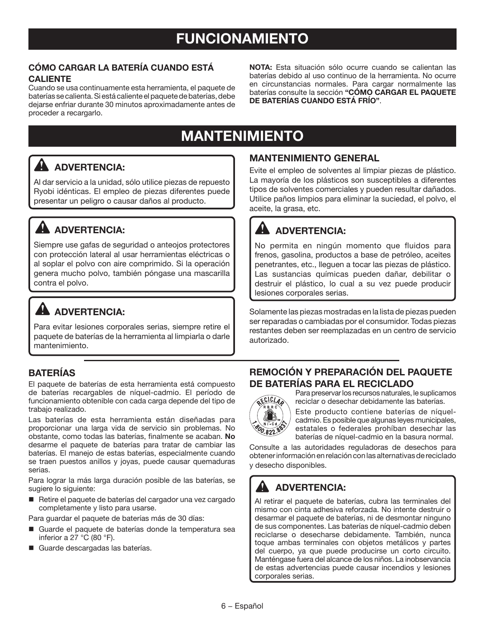#### **CÓMO CARGAR LA Batería CUANDO ESTÁ CALIENTE**

Cuando se usa continuamente esta herramienta, el paquete de baterías se calienta. Si está caliente el paquete de baterías, debe dejarse enfriar durante 30 minutos aproximadamente antes de proceder a recargarlo.

**Nota:** Esta situación sólo ocurre cuando se calientan las baterías debido al uso continuo de la herramienta. No ocurre en circunstancias normales. Para cargar normalmente las baterías consulte la sección **"CÓMO CARGAR EL PAQUETE DE BateríaS CUANDO ESTÁ FRÍO"**.

## **MANTENIMIENTO**

### **ADVERTENCIA:**

Al dar servicio a la unidad, sólo utilice piezas de repuesto Ryobi idénticas. El empleo de piezas diferentes puede presentar un peligro o causar daños al producto.

### **A** ADVERTENCIA:

Siempre use gafas de seguridad o anteojos protectores con protección lateral al usar herramientas eléctricas o al soplar el polvo con aire comprimido. Si la operación genera mucho polvo, también póngase una mascarilla contra el polvo.

### **ADVERTENCIA:**

Para evitar lesiones corporales serias, siempre retire el paquete de baterías de la herramienta al limpiarla o darle mantenimiento.

#### **BateríaS**

El paquete de baterías de esta herramienta está compuesto de baterías recargables de níquel-cadmio. El período de funcionamiento obtenible con cada carga depende del tipo de trabajo realizado.

Las baterías de esta herramienta están diseñadas para proporcionar una larga vida de servicio sin problemas. No obstante, como todas las baterías, finalmente se acaban. **No** desarme el paquete de baterías para tratar de cambiar las baterías. El manejo de estas baterías, especialmente cuando se traen puestos anillos y joyas, puede causar quemaduras serias.

Para lograr la más larga duración posible de las baterías, se sugiere lo siguiente:

■ Retire el paquete de baterías del cargador una vez cargado completamente y listo para usarse.

Para guardar el paquete de baterías más de 30 días:

- Guarde el paquete de baterías donde la temperatura sea inferior a  $27 \text{ °C}$  (80  $\text{ °F}$ ).
- Guarde descargadas las baterías.

#### **MANTENIMIENTO GENERAL**

Evite el empleo de solventes al limpiar piezas de plástico. La mayoría de los plásticos son susceptibles a diferentes tipos de solventes comerciales y pueden resultar dañados. Utilice paños limpios para eliminar la suciedad, el polvo, el aceite, la grasa, etc.

### **ADVERTENCIA:**

No permita en ningún momento que fluidos para frenos, gasolina, productos a base de petróleo, aceites penetrantes, etc., lleguen a tocar las piezas de plástico. Las sustancias químicas pueden dañar, debilitar o destruir el plástico, lo cual a su vez puede producir lesiones corporales serias.

Solamente las piezas mostradas en la lista de piezas pueden ser reparadas o cambiadas por el consumidor. Todas piezas restantes deben ser reemplazadas en un centro de servicio autorizado.

#### **REMOCIÓN Y PREPARACIÓN DEL PAQUETE DE BateríaS PARA EL RECICLADO**

Para preservar los recursos naturales, le suplicamos reciclar o desechar debidamente las baterías.

Este producto contiene baterías de níquelcadmio. Es posible que algunas leyes municipales, estatales o federales prohíban desechar las baterías de níquel-cadmio en la basura normal.

Consulte a las autoridades reguladoras de desechos para obtener información en relación con las alternativas de reciclado y desecho disponibles.

### **ADVERTENCIA:**

ECICLA **BRC** 

Al retirar el paquete de baterías, cubra las terminales del mismo con cinta adhesiva reforzada. No intente destruir o desarmar el paquete de baterías, ni de desmontar ninguno de sus componentes. Las baterías de níquel-cadmio deben reciclarse o desecharse debidamente. También, nunca toque ambas terminales con objetos metálicos y partes del cuerpo, ya que puede producirse un corto circuito. Manténgase fuera del alcance de los niños. La inobservancia de estas advertencias puede causar incendios y lesiones corporales serias.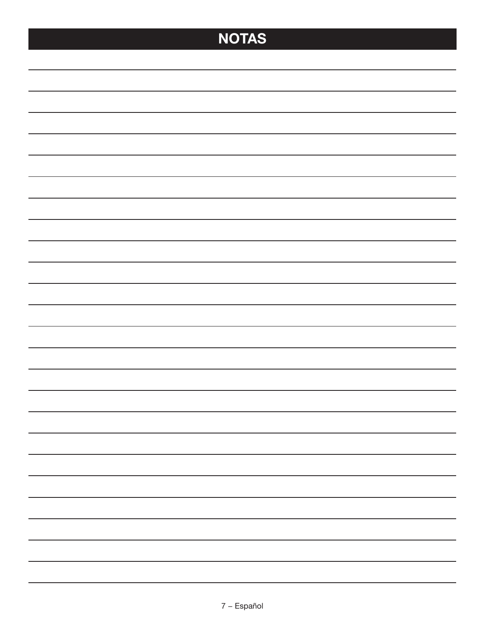# **NOTAS**